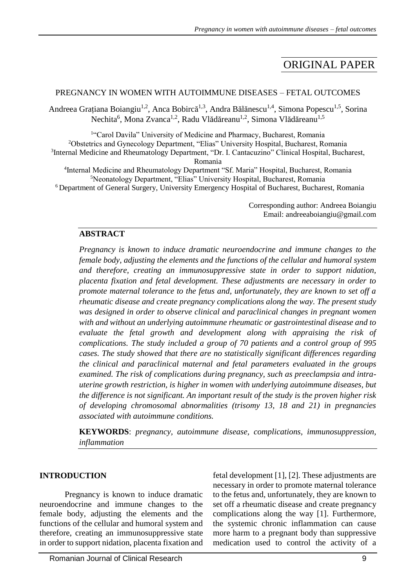# ORIGINAL PAPER

### PREGNANCY IN WOMEN WITH AUTOIMMUNE DISEASES – FETAL OUTCOMES

Andreea Grațiana Boiangiu<sup>1,2</sup>, Anca Bobircă<sup>1,3</sup>, Andra Bălănescu<sup>1,4</sup>, Simona Popescu<sup>1,5</sup>, Sorina Nechita<sup>6</sup>, Mona Zvanca<sup>1,2</sup>, Radu Vlădăreanu<sup>1,2</sup>, Simona Vlădăreanu<sup>1,5</sup>

<sup>1</sup>"Carol Davila" University of Medicine and Pharmacy, Bucharest, Romania <sup>2</sup>Obstetrics and Gynecology Department, "Elias" University Hospital, Bucharest, Romania <sup>3</sup>Internal Medicine and Rheumatology Department, "Dr. I. Cantacuzino" Clinical Hospital, Bucharest, Romania <sup>4</sup>Internal Medicine and Rheumatology Department "Sf. Maria" Hospital, Bucharest, Romania

<sup>5</sup>Neonatology Department, "Elias" University Hospital, Bucharest, Romania <sup>6</sup> Department of General Surgery, University Emergency Hospital of Bucharest, Bucharest, Romania

> Corresponding author: Andreea Boiangiu Email: andreeaboiangiu@gmail.com

### **ABSTRACT**

*Pregnancy is known to induce dramatic neuroendocrine and immune changes to the female body, adjusting the elements and the functions of the cellular and humoral system and therefore, creating an immunosuppressive state in order to support nidation, placenta fixation and fetal development. These adjustments are necessary in order to promote maternal tolerance to the fetus and, unfortunately, they are known to set off a rheumatic disease and create pregnancy complications along the way. The present study was designed in order to observe clinical and paraclinical changes in pregnant women with and without an underlying autoimmune rheumatic or gastrointestinal disease and to evaluate the fetal growth and development along with appraising the risk of complications. The study included a group of 70 patients and a control group of 995 cases. The study showed that there are no statistically significant differences regarding the clinical and paraclinical maternal and fetal parameters evaluated in the groups examined. The risk of complications during pregnancy, such as preeclampsia and intrauterine growth restriction, is higher in women with underlying autoimmune diseases, but the difference is not significant. An important result of the study is the proven higher risk of developing chromosomal abnormalities (trisomy 13, 18 and 21) in pregnancies associated with autoimmune conditions.*

**KEYWORDS**: *pregnancy, autoimmune disease, complications, immunosuppression, inflammation* 

## **INTRODUCTION**

Pregnancy is known to induce dramatic neuroendocrine and immune changes to the female body, adjusting the elements and the functions of the cellular and humoral system and therefore, creating an immunosuppressive state in order to support nidation, placenta fixation and

fetal development [1], [2]. These adjustments are necessary in order to promote maternal tolerance to the fetus and, unfortunately, they are known to set off a rheumatic disease and create pregnancy complications along the way [1]. Furthermore, the systemic chronic inflammation can cause more harm to a pregnant body than suppressive medication used to control the activity of a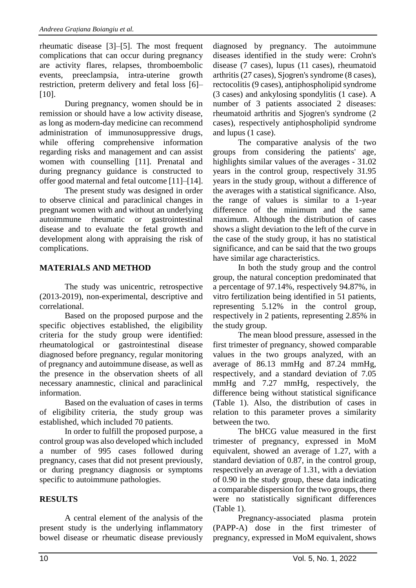rheumatic disease [3]–[5]. The most frequent complications that can occur during pregnancy are activity flares, relapses, thromboembolic events, preeclampsia, intra-uterine growth restriction, preterm delivery and fetal loss [6]– [10].

During pregnancy, women should be in remission or should have a low activity disease, as long as modern-day medicine can recommend administration of immunosuppressive drugs, while offering comprehensive information regarding risks and management and can assist women with counselling [11]. Prenatal and during pregnancy guidance is constructed to offer good maternal and fetal outcome [11]–[14].

The present study was designed in order to observe clinical and paraclinical changes in pregnant women with and without an underlying autoimmune rheumatic or gastrointestinal disease and to evaluate the fetal growth and development along with appraising the risk of complications.

# **MATERIALS AND METHOD**

The study was unicentric, retrospective (2013-2019), non-experimental, descriptive and correlational.

Based on the proposed purpose and the specific objectives established, the eligibility criteria for the study group were identified: rheumatological or gastrointestinal disease diagnosed before pregnancy, regular monitoring of pregnancy and autoimmune disease, as well as the presence in the observation sheets of all necessary anamnestic, clinical and paraclinical information.

Based on the evaluation of cases in terms of eligibility criteria, the study group was established, which included 70 patients.

In order to fulfill the proposed purpose, a control group was also developed which included a number of 995 cases followed during pregnancy, cases that did not present previously, or during pregnancy diagnosis or symptoms specific to autoimmune pathologies.

## **RESULTS**

A central element of the analysis of the present study is the underlying inflammatory bowel disease or rheumatic disease previously

diagnosed by pregnancy. The autoimmune diseases identified in the study were: Crohn's disease (7 cases), lupus (11 cases), rheumatoid arthritis (27 cases), Sjogren's syndrome (8 cases), rectocolitis (9 cases), antiphospholipid syndrome (3 cases) and ankylosing spondylitis (1 case). A number of 3 patients associated 2 diseases: rheumatoid arthritis and Sjogren's syndrome (2 cases), respectively antiphospholipid syndrome and lupus (1 case).

The comparative analysis of the two groups from considering the patients' age, highlights similar values of the averages - 31.02 years in the control group, respectively 31.95 years in the study group, without a difference of the averages with a statistical significance. Also, the range of values is similar to a 1-year difference of the minimum and the same maximum. Although the distribution of cases shows a slight deviation to the left of the curve in the case of the study group, it has no statistical significance, and can be said that the two groups have similar age characteristics.

In both the study group and the control group, the natural conception predominated that a percentage of 97.14%, respectively 94.87%, in vitro fertilization being identified in 51 patients, representing 5.12% in the control group, respectively in 2 patients, representing 2.85% in the study group.

The mean blood pressure, assessed in the first trimester of pregnancy, showed comparable values in the two groups analyzed, with an average of 86.13 mmHg and 87.24 mmHg, respectively, and a standard deviation of 7.05 mmHg and 7.27 mmHg, respectively, the difference being without statistical significance (Table 1). Also, the distribution of cases in relation to this parameter proves a similarity between the two.

The bHCG value measured in the first trimester of pregnancy, expressed in MoM equivalent, showed an average of 1.27, with a standard deviation of 0.87, in the control group, respectively an average of 1.31, with a deviation of 0.90 in the study group, these data indicating a comparable dispersion for the two groups, there were no statistically significant differences (Table 1).

Pregnancy-associated plasma protein (PAPP-A) dose in the first trimester of pregnancy, expressed in MoM equivalent, shows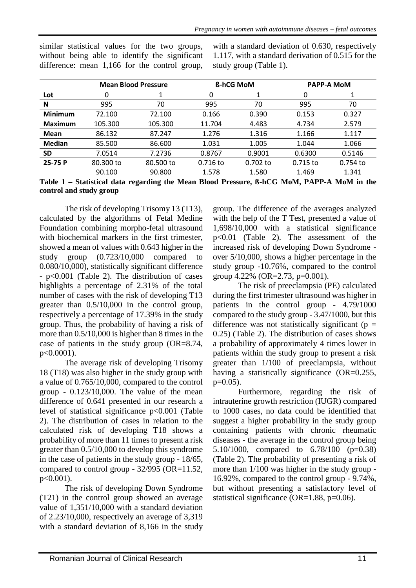|                |                                                                                   | <b>Mean Blood Pressure</b> |            | <b>ß-hCG MoM</b> | <b>PAPP-A MoM</b>          |                 |  |
|----------------|-----------------------------------------------------------------------------------|----------------------------|------------|------------------|----------------------------|-----------------|--|
| Lot            | 0                                                                                 |                            | 0          |                  | $\Omega$                   |                 |  |
| N              | 995                                                                               | 70                         | 995        | 70               | 995                        | 70              |  |
| <b>Minimum</b> | 72.100                                                                            | 72.100                     | 0.166      | 0.390            | 0.153                      | 0.327           |  |
| <b>Maximum</b> | 105.300                                                                           | 105.300                    | 11.704     | 4.483            | 4.734                      | 2.579           |  |
| <b>Mean</b>    | 86.132                                                                            | 87.247                     | 1.276      | 1.316            | 1.166                      | 1.117           |  |
| <b>Median</b>  | 85.500                                                                            | 86.600                     | 1.031      | 1.005            | 1.044                      | 1.066           |  |
| <b>SD</b>      | 7.0514                                                                            | 7.2736                     | 0.8767     | 0.9001           | 0.6300                     | 0.5146          |  |
| 25-75 P        | 80.300 to                                                                         | 80.500 to                  | $0.716$ to | $0.702$ to       | $0.715$ to                 | 0.754 to        |  |
|                | 90.100                                                                            | 90.800                     | 1.578      | 1.580            | 1.469                      | 1.341           |  |
| T 1 1 4        | $C\left(\begin{array}{ccc} 1 & 1 & 1 \end{array}\right)$ is a set of $\mathbf{I}$ |                            |            |                  | $0.100 \text{ M} \text{M}$ | <b>BEBE: 11</b> |  |

similar statistical values for the two groups, without being able to identify the significant difference: mean 1,166 for the control group,

with a standard deviation of 0.630, respectively 1.117, with a standard derivation of 0.515 for the study group (Table 1).

**Table 1 – Statistical data regarding the Mean Blood Pressure, ß-hCG MoM, PAPP-A MoM in the control and study group**

The risk of developing Trisomy 13 (T13), calculated by the algorithms of Fetal Medine Foundation combining morpho-fetal ultrasound with biochemical markers in the first trimester, showed a mean of values with 0.643 higher in the study group (0.723/10,000 compared to 0.080/10,000), statistically significant difference - p<0.001 (Table 2). The distribution of cases highlights a percentage of 2.31% of the total number of cases with the risk of developing T13 greater than 0.5/10,000 in the control group, respectively a percentage of 17.39% in the study group. Thus, the probability of having a risk of more than 0.5/10,000 is higher than 8 times in the case of patients in the study group (OR=8.74, p<0.0001).

The average risk of developing Trisomy 18 (T18) was also higher in the study group with a value of 0.765/10,000, compared to the control group  $-0.123/10,000$ . The value of the mean difference of 0.641 presented in our research a level of statistical significance p<0.001 (Table 2). The distribution of cases in relation to the calculated risk of developing T18 shows a probability of more than 11 times to present a risk greater than 0.5/10,000 to develop this syndrome in the case of patients in the study group - 18/65, compared to control group - 32/995 (OR=11.52,  $p < 0.001$ .

The risk of developing Down Syndrome (T21) in the control group showed an average value of 1,351/10,000 with a standard deviation of 2.23/10,000, respectively an average of 3,319 with a standard deviation of 8,166 in the study

group. The difference of the averages analyzed with the help of the T Test, presented a value of 1,698/10,000 with a statistical significance p<0.01 (Table 2). The assessment of the increased risk of developing Down Syndrome over 5/10,000, shows a higher percentage in the study group -10.76%, compared to the control group 4.22% (OR=2.73, p=0.001).

The risk of preeclampsia (PE) calculated during the first trimester ultrasound was higher in patients in the control group - 4.79/1000 compared to the study group - 3.47/1000, but this difference was not statistically significant ( $p =$ 0.25) (Table 2). The distribution of cases shows a probability of approximately 4 times lower in patients within the study group to present a risk greater than 1/100 of preeclampsia, without having a statistically significance (OR=0.255,  $p=0.05$ ).

Furthermore, regarding the risk of intrauterine growth restriction (IUGR) compared to 1000 cases, no data could be identified that suggest a higher probability in the study group containing patients with chronic rheumatic diseases - the average in the control group being 5.10/1000, compared to 6.78/100 (p=0.38) (Table 2). The probability of presenting a risk of more than 1/100 was higher in the study group - 16.92%, compared to the control group - 9.74%, but without presenting a satisfactory level of statistical significance (OR= $1.88$ , p= $0.06$ ).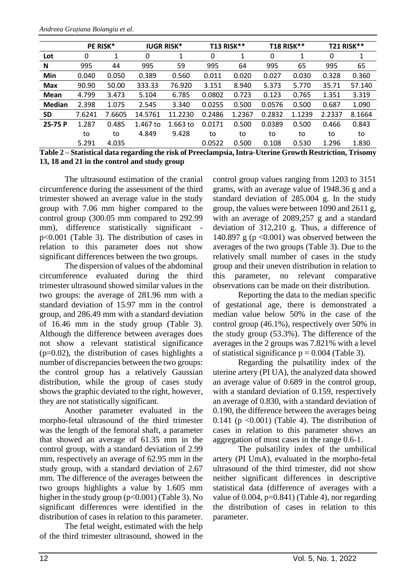|               | PE RISK* |        | <b>IUGR RISK*</b> |            | <b>T13 RISK**</b> |        | <b>T18 RISK**</b> |        | <b>T21 RISK**</b> |        |
|---------------|----------|--------|-------------------|------------|-------------------|--------|-------------------|--------|-------------------|--------|
| Lot           | 0        | 1      | 0                 | 1          | 0                 | 1      | 0                 | 1      | 0                 | 1      |
| N             | 995      | 44     | 995               | 59         | 995               | 64     | 995               | 65     | 995               | 65     |
| Min           | 0.040    | 0.050  | 0.389             | 0.560      | 0.011             | 0.020  | 0.027             | 0.030  | 0.328             | 0.360  |
| <b>Max</b>    | 90.90    | 50.00  | 333.33            | 76.920     | 3.151             | 8.940  | 5.373             | 5.770  | 35.71             | 57.140 |
| Mean          | 4.799    | 3.473  | 5.104             | 6.785      | 0.0802            | 0.723  | 0.123             | 0.765  | 1.351             | 3.319  |
| <b>Median</b> | 2.398    | 1.075  | 2.545             | 3.340      | 0.0255            | 0.500  | 0.0576            | 0.500  | 0.687             | 1.090  |
| <b>SD</b>     | 7.6241   | 7.6605 | 14.5761           | 11.2230    | 0.2486            | 1.2367 | 0.2832            | 1.1239 | 2.2337            | 8.1664 |
| 25-75 P       | 1.287    | 0.485  | 1.467 to          | $1.663$ to | 0.0171            | 0.500  | 0.0389            | 0.500  | 0.466             | 0.843  |
|               | to       | to     | 4.849             | 9.428      | to                | to     | to                | to     | to                | to     |
|               | 5.291    | 4.035  |                   |            | 0.0522            | 0.500  | 0.108             | 0.530  | 1.296             | 1.830  |

**Table 2 – Statistical data regarding the risk of Preeclampsia, Intra-Uterine Growth Restriction, Trisomy 13, 18 and 21 in the control and study group**

The ultrasound estimation of the cranial circumference during the assessment of the third trimester showed an average value in the study group with 7.06 mm higher compared to the control group (300.05 mm compared to 292.99 mm), difference statistically significant p<0.001 (Table 3). The distribution of cases in relation to this parameter does not show significant differences between the two groups.

The dispersion of values of the abdominal circumference evaluated during the third trimester ultrasound showed similar values in the two groups: the average of 281.96 mm with a standard deviation of 15.97 mm in the control group, and 286.49 mm with a standard deviation of 16.46 mm in the study group (Table 3). Although the difference between averages does not show a relevant statistical significance  $(p=0.02)$ , the distribution of cases highlights a number of discrepancies between the two groups: the control group has a relatively Gaussian distribution, while the group of cases study shows the graphic deviated to the right, however, they are not statistically significant.

Another parameter evaluated in the morpho-fetal ultrasound of the third trimester was the length of the femoral shaft, a parameter that showed an average of 61.35 mm in the control group, with a standard deviation of 2.99 mm, respectively an average of 62.95 mm in the study group, with a standard deviation of 2.67 mm. The difference of the averages between the two groups highlights a value by 1.605 mm higher in the study group  $(p<0.001)$  (Table 3). No significant differences were identified in the distribution of cases in relation to this parameter.

The fetal weight, estimated with the help of the third trimester ultrasound, showed in the

control group values ranging from 1203 to 3151 grams, with an average value of 1948.36 g and a standard deviation of 285.004 g. In the study group, the values were between 1090 and 2611 g, with an average of 2089,257 g and a standard deviation of 312,210 g. Thus, a difference of 140.897 g ( $p < 0.001$ ) was observed between the averages of the two groups (Table 3). Due to the relatively small number of cases in the study group and their uneven distribution in relation to this parameter, no relevant comparative observations can be made on their distribution.

Reporting the data to the median specific of gestational age, there is demonstrated a median value below 50% in the case of the control group (46.1%), respectively over 50% in the study group (53.3%). The difference of the averages in the 2 groups was 7.821% with a level of statistical significance  $p = 0.004$  (Table 3).

Regarding the pulsatility index of the uterine artery (PI UA), the analyzed data showed an average value of 0.689 in the control group, with a standard deviation of 0.159, respectively an average of 0.830, with a standard deviation of 0.190, the difference between the averages being 0.141 ( $p \le 0.001$ ) (Table 4). The distribution of cases in relation to this parameter shows an aggregation of most cases in the range 0.6-1.

The pulsatility index of the umbilical artery (PI UmA), evaluated in the morpho-fetal ultrasound of the third trimester, did not show neither significant differences in descriptive statistical data (difference of averages with a value of 0.004,  $p=0.841$ ) (Table 4), nor regarding the distribution of cases in relation to this parameter.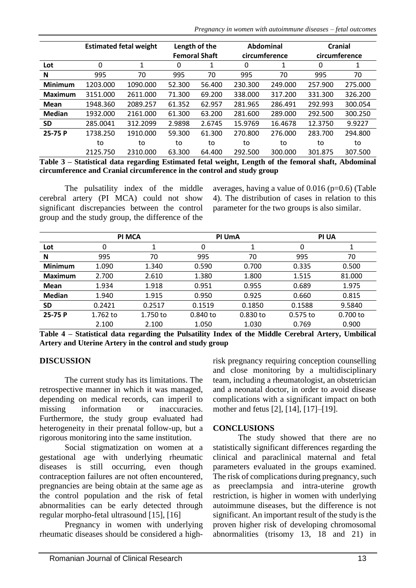*Pregnancy in women with autoimmune diseases – fetal outcomes*

|                | <b>Estimated fetal weight</b> |          | Length of the        |        | Abdominal     |         | Cranial       |         |
|----------------|-------------------------------|----------|----------------------|--------|---------------|---------|---------------|---------|
|                |                               |          | <b>Femoral Shaft</b> |        | circumference |         | circumference |         |
| Lot            | 0                             | 1        | 0                    | 1      | 0             | 1       | 0             | 1       |
| N              | 995                           | 70       | 995                  | 70     | 995           | 70      | 995           | 70      |
| <b>Minimum</b> | 1203.000                      | 1090.000 | 52.300               | 56.400 | 230.300       | 249.000 | 257.900       | 275.000 |
| <b>Maximum</b> | 3151.000                      | 2611.000 | 71.300               | 69.200 | 338.000       | 317.200 | 331.300       | 326.200 |
| Mean           | 1948.360                      | 2089.257 | 61.352               | 62.957 | 281.965       | 286.491 | 292.993       | 300.054 |
| <b>Median</b>  | 1932.000                      | 2161.000 | 61.300               | 63.200 | 281.600       | 289.000 | 292.500       | 300.250 |
| <b>SD</b>      | 285.0041                      | 312.2099 | 2.9898               | 2.6745 | 15.9769       | 16.4678 | 12.3750       | 9.9227  |
| 25-75 P        | 1738.250                      | 1910.000 | 59.300               | 61.300 | 270.800       | 276.000 | 283.700       | 294.800 |
|                | to                            | to       | to                   | to     | to            | to      | to            | to      |
|                | 2125.750                      | 2310.000 | 63.300               | 64.400 | 292.500       | 300.000 | 301.875       | 307.500 |

**Table 3 – Statistical data regarding Estimated fetal weight, Length of the femoral shaft, Abdominal circumference and Cranial circumference in the control and study group**

The pulsatility index of the middle cerebral artery (PI MCA) could not show significant discrepancies between the control group and the study group, the difference of the

averages, having a value of  $0.016$  (p=0.6) (Table 4). The distribution of cases in relation to this parameter for the two groups is also similar.

|                |          | <b>PI MCA</b> |          | PI UmA     | <b>PI UA</b> |          |  |
|----------------|----------|---------------|----------|------------|--------------|----------|--|
| Lot            | 0        |               | 0        |            | 0            |          |  |
| N              | 995      | 70            | 995      | 70         | 995          | 70       |  |
| <b>Minimum</b> | 1.090    | 1.340         | 0.590    | 0.700      | 0.335        | 0.500    |  |
| Maximum        | 2.700    | 2.610         | 1.380    | 1.800      | 1.515        | 81.000   |  |
| <b>Mean</b>    | 1.934    | 1.918         | 0.951    | 0.955      | 0.689        | 1.975    |  |
| <b>Median</b>  | 1.940    | 1.915         | 0.950    | 0.925      | 0.660        | 0.815    |  |
| <b>SD</b>      | 0.2421   | 0.2517        | 0.1519   | 0.1850     | 0.1588       | 9.5840   |  |
| 25-75 P        | 1.762 to | 1.750 to      | 0.840 to | $0.830$ to | 0.575 to     | 0.700 to |  |
|                | 2.100    | 2.100         | 1.050    | 1.030      | 0.769        | 0.900    |  |

**Table 4 – Statistical data regarding the Pulsatility Index of the Middle Cerebral Artery, Umbilical Artery and Uterine Artery in the control and study group**

#### **DISCUSSION**

The current study has its limitations. The retrospective manner in which it was managed, depending on medical records, can imperil to missing information or inaccuracies. Furthermore, the study group evaluated had heterogeneity in their prenatal follow-up, but a rigorous monitoring into the same institution.

Social stigmatization on women at a gestational age with underlying rheumatic diseases is still occurring, even though contraception failures are not often encountered, pregnancies are being obtain at the same age as the control population and the risk of fetal abnormalities can be early detected through regular morpho-fetal ultrasound [15], [16]

Pregnancy in women with underlying rheumatic diseases should be considered a highrisk pregnancy requiring conception counselling and close monitoring by a multidisciplinary team, including a rheumatologist, an obstetrician and a neonatal doctor, in order to avoid disease complications with a significant impact on both mother and fetus [2], [14], [17]–[19].

#### **CONCLUSIONS**

The study showed that there are no statistically significant differences regarding the clinical and paraclinical maternal and fetal parameters evaluated in the groups examined. The risk of complications during pregnancy, such as preeclampsia and intra-uterine growth restriction, is higher in women with underlying autoimmune diseases, but the difference is not significant. An important result of the study is the proven higher risk of developing chromosomal abnormalities (trisomy 13, 18 and 21) in